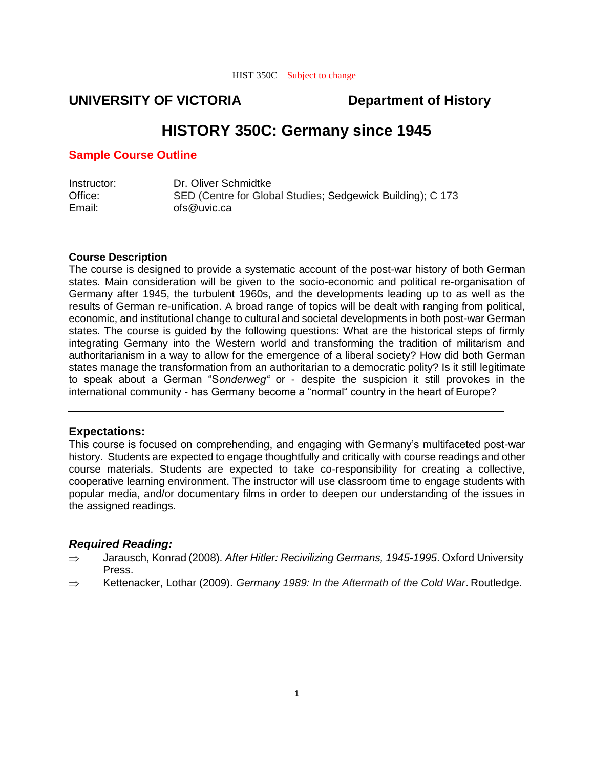# **UNIVERSITY OF VICTORIA Department of History**

# **HISTORY 350C: Germany since 1945**

## **Sample Course Outline**

| Instructor: | Dr. Oliver Schmidtke                                       |
|-------------|------------------------------------------------------------|
| Office:     | SED (Centre for Global Studies; Sedgewick Building); C 173 |
| Email:      | ofs@uvic.ca                                                |

### **Course Description**

The course is designed to provide a systematic account of the post-war history of both German states. Main consideration will be given to the socio-economic and political re-organisation of Germany after 1945, the turbulent 1960s, and the developments leading up to as well as the results of German re-unification. A broad range of topics will be dealt with ranging from political, economic, and institutional change to cultural and societal developments in both post-war German states. The course is guided by the following questions: What are the historical steps of firmly integrating Germany into the Western world and transforming the tradition of militarism and authoritarianism in a way to allow for the emergence of a liberal society? How did both German states manage the transformation from an authoritarian to a democratic polity? Is it still legitimate to speak about a German "S*onderweg"* or - despite the suspicion it still provokes in the international community - has Germany become a "normal" country in the heart of Europe?

## **Expectations:**

This course is focused on comprehending, and engaging with Germany's multifaceted post-war history. Students are expected to engage thoughtfully and critically with course readings and other course materials. Students are expected to take co-responsibility for creating a collective, cooperative learning environment. The instructor will use classroom time to engage students with popular media, and/or documentary films in order to deepen our understanding of the issues in the assigned readings.

## *Required Reading:*

- Jarausch, Konrad (2008). *After Hitler: Recivilizing Germans, 1945-1995*. Oxford University Press.
- $\Rightarrow$  Kettenacker, Lothar (2009). *Germany 1989: In the Aftermath of the Cold War*. Routledge.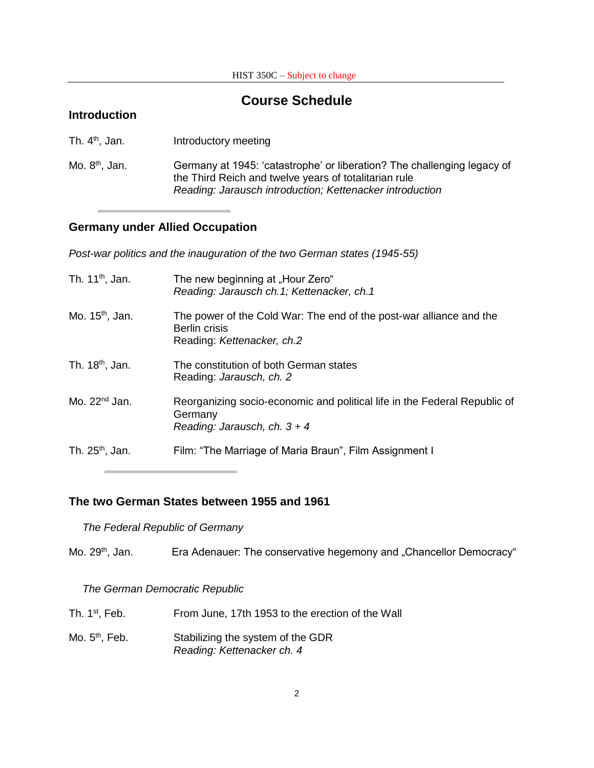# **Introduction Course Schedule** Th.  $4^{\text{th}}$ Introductory meeting Mo. 8<sup>th</sup>, Jan. Germany at 1945: 'catastrophe' or liberation? The challenging legacy of the Third Reich and twelve years of totalitarian rule *Reading: Jarausch introduction; Kettenacker introduction*

# **Germany under Allied Occupation**

*Post-war politics and the inauguration of the two German states (1945-55)*

| Th. $11^{th}$ , Jan.        | The new beginning at "Hour Zero"<br>Reading: Jarausch ch.1; Kettenacker, ch.1                                          |
|-----------------------------|------------------------------------------------------------------------------------------------------------------------|
| Mo. 15 <sup>th</sup> , Jan. | The power of the Cold War: The end of the post-war alliance and the<br>Berlin crisis<br>Reading: Kettenacker, ch.2     |
| Th. 18 <sup>th</sup> , Jan. | The constitution of both German states<br>Reading: Jarausch, ch. 2                                                     |
| Mo. $22nd$ Jan.             | Reorganizing socio-economic and political life in the Federal Republic of<br>Germany<br>Reading: Jarausch, ch. $3 + 4$ |
| Th. $25th$ , Jan.           | Film: "The Marriage of Maria Braun", Film Assignment I                                                                 |

## **The two German States between 1955 and 1961**

*The Federal Republic of Germany*

Mo. 29<sup>th</sup>, Jan. **Era Adenauer: The conservative hegemony and "Chancellor Democracy"** 

*The German Democratic Republic*

| Th. $1st$ , Feb. | From June, 17th 1953 to the erection of the Wall                |
|------------------|-----------------------------------------------------------------|
| Mo. $5th$ , Feb. | Stabilizing the system of the GDR<br>Reading: Kettenacker ch. 4 |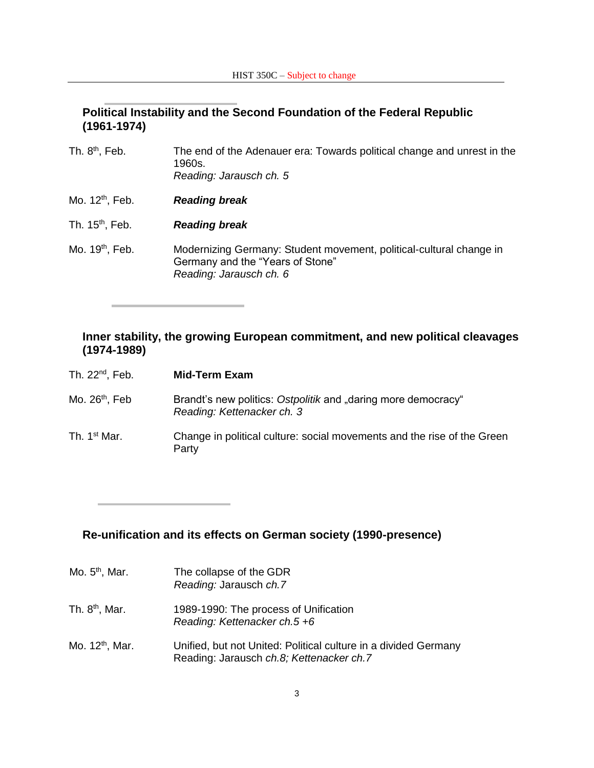# **Political Instability and the Second Foundation of the Federal Republic (1961-1974)**

| Th. $8th$ , Feb.            | The end of the Adenauer era: Towards political change and unrest in the<br>1960s.<br>Reading: Jarausch ch. 5                       |
|-----------------------------|------------------------------------------------------------------------------------------------------------------------------------|
| Mo. 12 <sup>th</sup> , Feb. | <b>Reading break</b>                                                                                                               |
| Th. 15 <sup>th</sup> , Feb. | <b>Reading break</b>                                                                                                               |
| Mo. 19 <sup>th</sup> , Feb. | Modernizing Germany: Student movement, political-cultural change in<br>Germany and the "Years of Stone"<br>Reading: Jarausch ch. 6 |

# **Inner stability, the growing European commitment, and new political cleavages (1974-1989)**

| Th. 22 <sup>nd</sup> , Feb. | <b>Mid-Term Exam</b>                                                                        |
|-----------------------------|---------------------------------------------------------------------------------------------|
| Mo. 26 <sup>th</sup> , Feb  | Brandt's new politics: Ostpolitik and "daring more democracy"<br>Reading: Kettenacker ch. 3 |
| Th. 1 <sup>st</sup> Mar.    | Change in political culture: social movements and the rise of the Green<br>Party            |

# **Re-unification and its effects on German society (1990-presence)**

| Mo. $5th$ , Mar.            | The collapse of the GDR<br>Reading: Jarausch ch.7                                                           |
|-----------------------------|-------------------------------------------------------------------------------------------------------------|
| Th. 8 <sup>th</sup> , Mar.  | 1989-1990: The process of Unification<br>Reading: Kettenacker ch.5 +6                                       |
| Mo. 12 <sup>th</sup> , Mar. | Unified, but not United: Political culture in a divided Germany<br>Reading: Jarausch ch.8; Kettenacker ch.7 |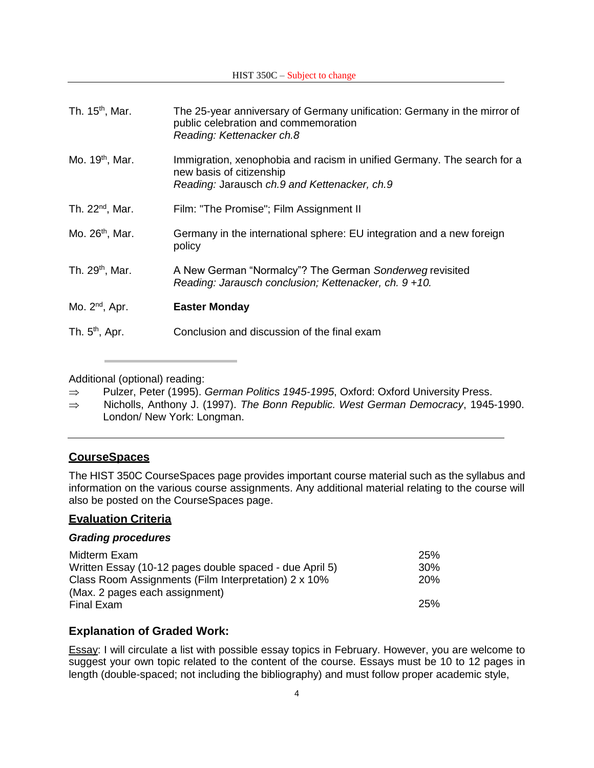| Th. 15 <sup>th</sup> , Mar. | The 25-year anniversary of Germany unification: Germany in the mirror of<br>public celebration and commemoration<br>Reading: Kettenacker ch.8       |
|-----------------------------|-----------------------------------------------------------------------------------------------------------------------------------------------------|
| Mo. 19 <sup>th</sup> , Mar. | Immigration, xenophobia and racism in unified Germany. The search for a<br>new basis of citizenship<br>Reading: Jarausch ch.9 and Kettenacker, ch.9 |
| Th. $22^{nd}$ , Mar.        | Film: "The Promise"; Film Assignment II                                                                                                             |
| Mo. 26 <sup>th</sup> , Mar. | Germany in the international sphere: EU integration and a new foreign<br>policy                                                                     |
| Th. 29 <sup>th</sup> , Mar. | A New German "Normalcy"? The German Sonderweg revisited<br>Reading: Jarausch conclusion; Kettenacker, ch. 9 +10.                                    |
| Mo. $2^{nd}$ , Apr.         | <b>Easter Monday</b>                                                                                                                                |
| Th. $5th$ , Apr.            | Conclusion and discussion of the final exam                                                                                                         |
|                             |                                                                                                                                                     |

Additional (optional) reading:

- ⇒ Pulzer, Peter (1995). *German Politics 1945-1995*, Oxford: Oxford University Press.
- Nicholls, Anthony J. (1997). *The Bonn Republic. West German Democracy*, 1945-1990. London/ New York: Longman.

# **CourseSpaces**

The HIST 350C CourseSpaces page provides important course material such as the syllabus and information on the various course assignments. Any additional material relating to the course will also be posted on the CourseSpaces page.

# **Evaluation Criteria**

## *Grading procedures*

| Midterm Exam                                            | <b>25%</b>      |
|---------------------------------------------------------|-----------------|
| Written Essay (10-12 pages double spaced - due April 5) | 30 <sup>%</sup> |
| Class Room Assignments (Film Interpretation) 2 x 10%    | 20%             |
| (Max. 2 pages each assignment)                          |                 |
| Final Exam                                              | <b>25%</b>      |

# **Explanation of Graded Work:**

Essay: I will circulate a list with possible essay topics in February. However, you are welcome to suggest your own topic related to the content of the course. Essays must be 10 to 12 pages in length (double-spaced; not including the bibliography) and must follow proper academic style,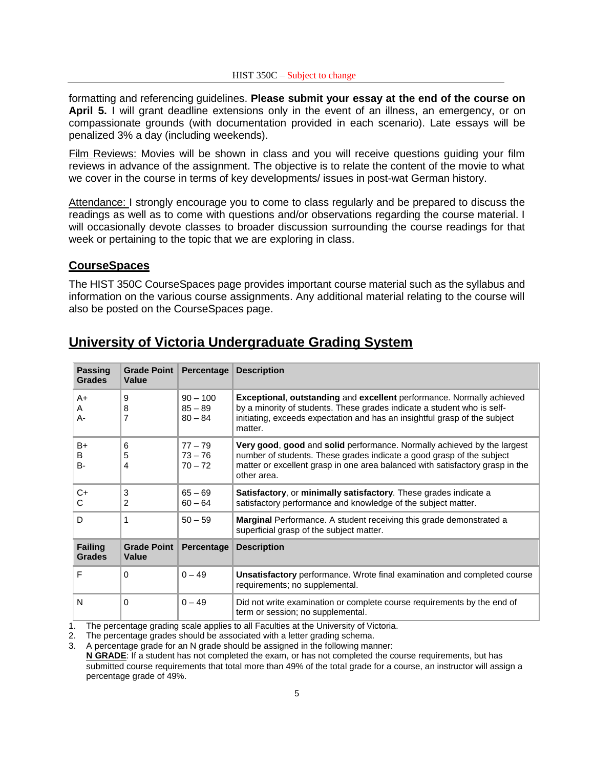formatting and referencing guidelines. **Please submit your essay at the end of the course on April 5.** I will grant deadline extensions only in the event of an illness, an emergency, or on compassionate grounds (with documentation provided in each scenario). Late essays will be penalized 3% a day (including weekends).

Film Reviews: Movies will be shown in class and you will receive questions guiding your film reviews in advance of the assignment. The objective is to relate the content of the movie to what we cover in the course in terms of key developments/ issues in post-wat German history.

Attendance: I strongly encourage you to come to class regularly and be prepared to discuss the readings as well as to come with questions and/or observations regarding the course material. I will occasionally devote classes to broader discussion surrounding the course readings for that week or pertaining to the topic that we are exploring in class.

#### **CourseSpaces**

The HIST 350C CourseSpaces page provides important course material such as the syllabus and information on the various course assignments. Any additional material relating to the course will also be posted on the CourseSpaces page.

| <b>Passing</b><br><b>Grades</b> | <b>Grade Point</b><br>Value        | <b>Percentage</b>                    | <b>Description</b>                                                                                                                                                                                                                               |
|---------------------------------|------------------------------------|--------------------------------------|--------------------------------------------------------------------------------------------------------------------------------------------------------------------------------------------------------------------------------------------------|
| $A+$<br>A<br>А-                 | 9<br>8<br>7                        | $90 - 100$<br>$85 - 89$<br>$80 - 84$ | <b>Exceptional, outstanding and excellent</b> performance. Normally achieved<br>by a minority of students. These grades indicate a student who is self-<br>initiating, exceeds expectation and has an insightful grasp of the subject<br>matter. |
| B+<br>B<br><b>B-</b>            | 6<br>5<br>4                        | $77 - 79$<br>$73 - 76$<br>$70 - 72$  | Very good, good and solid performance. Normally achieved by the largest<br>number of students. These grades indicate a good grasp of the subject<br>matter or excellent grasp in one area balanced with satisfactory grasp in the<br>other area. |
| $C+$<br>C                       | 3<br>2                             | $65 - 69$<br>$60 - 64$               | Satisfactory, or minimally satisfactory. These grades indicate a<br>satisfactory performance and knowledge of the subject matter.                                                                                                                |
| D                               | 1                                  | $50 - 59$                            | <b>Marginal</b> Performance. A student receiving this grade demonstrated a<br>superficial grasp of the subject matter.                                                                                                                           |
| <b>Failing</b><br><b>Grades</b> | <b>Grade Point</b><br><b>Value</b> | Percentage                           | <b>Description</b>                                                                                                                                                                                                                               |
| F                               | $\Omega$                           | $0 - 49$                             | <b>Unsatisfactory</b> performance. Wrote final examination and completed course<br>requirements; no supplemental.                                                                                                                                |
| N                               | $\Omega$                           | $0 - 49$                             | Did not write examination or complete course requirements by the end of<br>term or session; no supplemental.                                                                                                                                     |

# **University of Victoria Undergraduate Grading System**

1. The percentage grading scale applies to all Faculties at the University of Victoria.

2. The percentage grades should be associated with a letter grading schema.

3. A percentage grade for an N grade should be assigned in the following manner:

**N GRADE**: If a student has not completed the exam, or has not completed the course requirements, but has submitted course requirements that total more than 49% of the total grade for a course, an instructor will assign a percentage grade of 49%.